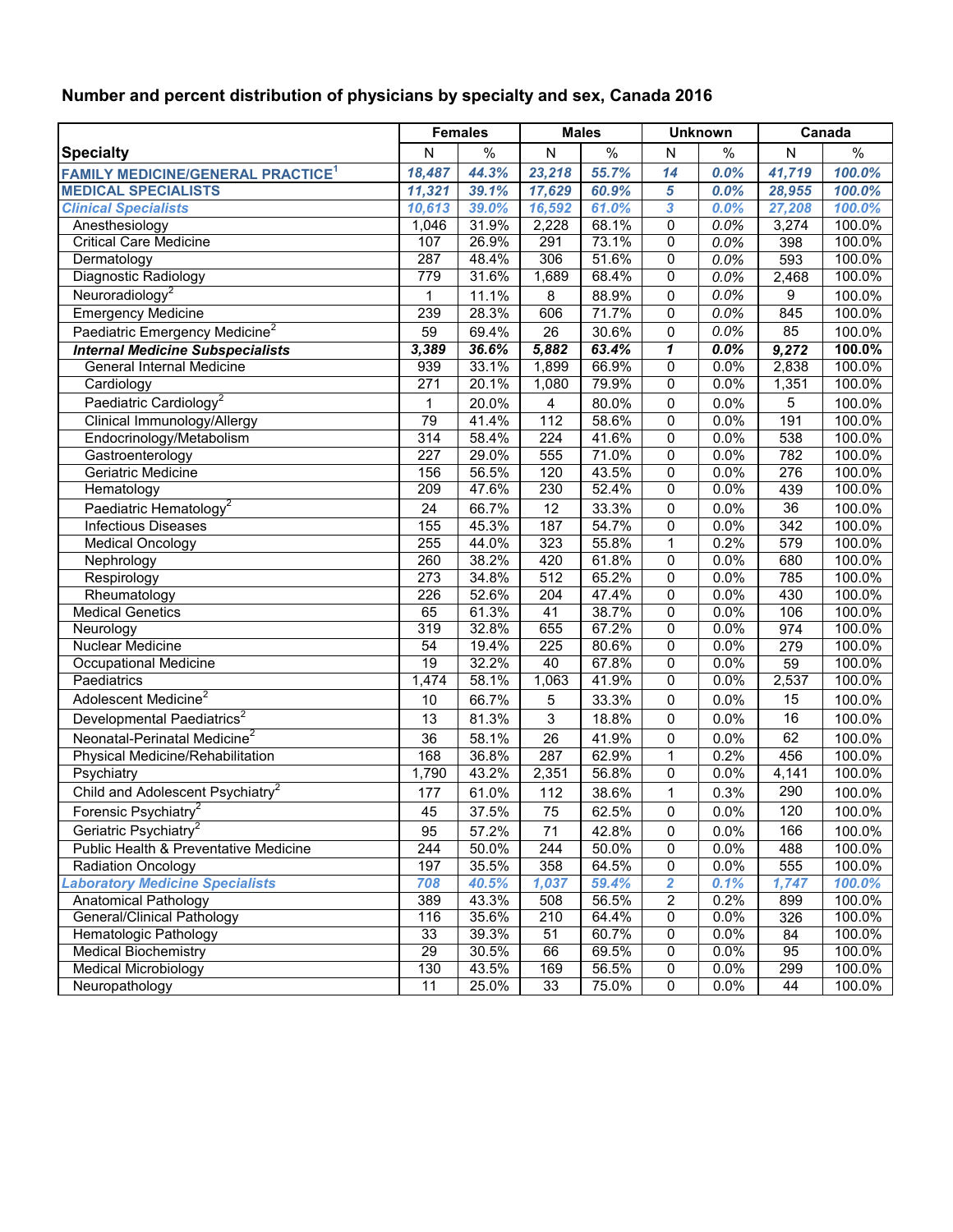## **Number and percent distribution of physicians by specialty and sex, Canada 2016**

|                                                     | <b>Females</b>  |                | <b>Males</b> |                | <b>Unknown</b>             |              | Canada                  |                  |
|-----------------------------------------------------|-----------------|----------------|--------------|----------------|----------------------------|--------------|-------------------------|------------------|
| <b>Specialty</b>                                    | N               | $\%$           | ${\sf N}$    | $\%$           | $\mathsf{N}$               | $\%$         | $\overline{\mathsf{N}}$ | $\%$             |
| <b>FAMILY MEDICINE/GENERAL PRACTICE<sup>1</sup></b> | 18,487          | 44.3%          | 23,218       | 55.7%          | 14                         | 0.0%         | 41,719                  | 100.0%           |
| <b>MEDICAL SPECIALISTS</b>                          | 11,321          | 39.1%          | 17,629       | 60.9%          | 5                          | 0.0%         | 28,955                  | 100.0%           |
| <b>Clinical Specialists</b>                         | 10,613          | 39.0%          | 16,592       | 61.0%          | 3                          | 0.0%         | 27,208                  | 100.0%           |
| Anesthesiology                                      | 1,046           | 31.9%          | 2,228        | 68.1%          | 0                          | 0.0%         | 3,274                   | 100.0%           |
| <b>Critical Care Medicine</b>                       | 107             | 26.9%          | 291          | 73.1%          | $\mathbf 0$                | 0.0%         | 398                     | 100.0%           |
| Dermatology                                         | 287             | 48.4%          | 306          | 51.6%          | $\mathbf 0$                | 0.0%         | 593                     | 100.0%           |
| Diagnostic Radiology                                | 779             | 31.6%          | 1,689        | 68.4%          | $\mathbf 0$                | 0.0%         | 2,468                   | 100.0%           |
| Neuroradiology <sup>2</sup>                         | $\mathbf{1}$    | 11.1%          | 8            | 88.9%          | $\pmb{0}$                  | 0.0%         | 9                       | 100.0%           |
| <b>Emergency Medicine</b>                           | 239             | 28.3%          | 606          | 71.7%          | 0                          | 0.0%         | 845                     | 100.0%           |
| Paediatric Emergency Medicine <sup>2</sup>          | 59              | 69.4%          | 26           | 30.6%          | $\mathbf 0$                | 0.0%         | 85                      | 100.0%           |
| <b>Internal Medicine Subspecialists</b>             | 3,389           | 36.6%          | 5,882        | 63.4%          | $\boldsymbol{\mathcal{L}}$ | 0.0%         | 9,272                   | 100.0%           |
| <b>General Internal Medicine</b>                    | 939             | 33.1%          | 1,899        | 66.9%          | $\overline{0}$             | 0.0%         | 2,838                   | 100.0%           |
| Cardiology                                          | 271             | 20.1%          | 1,080        | 79.9%          | $\mathbf 0$                | 0.0%         | 1,351                   | 100.0%           |
| Paediatric Cardiology <sup>2</sup>                  | $\mathbf{1}$    | 20.0%          | 4            | 80.0%          | $\pmb{0}$                  | 0.0%         | 5                       | 100.0%           |
| Clinical Immunology/Allergy                         | 79              | 41.4%          | 112          | 58.6%          | 0                          | 0.0%         | 191                     | 100.0%           |
| Endocrinology/Metabolism                            | 314             | 58.4%          | 224          | 41.6%          | $\mathbf 0$                | 0.0%         | 538                     | 100.0%           |
| Gastroenterology                                    | 227             | 29.0%          | 555          | 71.0%          | $\mathbf 0$                | 0.0%         | 782                     | 100.0%           |
| Geriatric Medicine                                  | 156             | 56.5%          | 120          | 43.5%          | $\mathbf 0$                | 0.0%         | 276                     | 100.0%           |
| Hematology                                          | 209             | 47.6%          | 230          | 52.4%          | $\mathbf 0$                | 0.0%         | 439                     | 100.0%           |
| Paediatric Hematology <sup>2</sup>                  | 24              | 66.7%          | 12           | 33.3%          | 0                          | 0.0%         | 36                      | 100.0%           |
| <b>Infectious Diseases</b>                          | 155             | 45.3%          | 187          | 54.7%          | $\Omega$                   | 0.0%         | 342                     | 100.0%           |
| <b>Medical Oncology</b>                             | 255             | 44.0%          | 323          | 55.8%          | 1                          | 0.2%         | 579                     | 100.0%           |
| Nephrology                                          | 260             | 38.2%          | 420          | 61.8%          | 0                          | 0.0%         | 680                     | 100.0%           |
| Respirology                                         | 273             | 34.8%          | 512          | 65.2%          | $\mathbf 0$                | 0.0%         | 785                     | 100.0%           |
| Rheumatology                                        | 226             | 52.6%          | 204          | 47.4%          | $\mathbf 0$                | 0.0%         | 430                     | 100.0%           |
| <b>Medical Genetics</b>                             | 65              | 61.3%          | 41           | 38.7%          | $\mathbf 0$                | 0.0%         | 106                     | 100.0%           |
| Neurology                                           | 319             | 32.8%          | 655          | 67.2%          | $\mathbf 0$                | 0.0%         | 974                     | 100.0%           |
| Nuclear Medicine                                    | $\overline{54}$ | 19.4%          | 225          | 80.6%          | 0                          | 0.0%         | 279                     | 100.0%           |
| <b>Occupational Medicine</b>                        | 19              | 32.2%          | 40           | 67.8%          | 0                          | 0.0%         | 59                      | 100.0%           |
| Paediatrics                                         | 1,474           | 58.1%          | 1,063        | 41.9%          | $\mathbf 0$                | 0.0%         | 2,537                   | 100.0%           |
| Adolescent Medicine <sup>2</sup>                    | 10              | 66.7%          | 5            | 33.3%          | $\mathbf 0$                | 0.0%         | 15                      | 100.0%           |
| Developmental Paediatrics <sup>2</sup>              | 13              | 81.3%          | 3            | 18.8%          | $\mathbf 0$                | 0.0%         | 16                      | 100.0%           |
| Neonatal-Perinatal Medicine <sup>2</sup>            | 36              | 58.1%          | 26           | 41.9%          | $\mathbf 0$                | 0.0%         | 62                      | 100.0%           |
| Physical Medicine/Rehabilitation                    | 168             | 36.8%          | 287          | 62.9%          | 1                          | 0.2%         | 456                     | 100.0%           |
| Psychiatry                                          | 1,790           | 43.2%          | 2,351        | 56.8%          | $\mathbf 0$                | 0.0%         | 4,141                   | 100.0%           |
| Child and Adolescent Psychiatry <sup>2</sup>        | 177             | 61.0%          | 112          | 38.6%          | 1                          | 0.3%         | 290                     | 100.0%           |
| Forensic Psychiatry <sup>2</sup>                    | 45              | 37.5%          | 75           | 62.5%          | 0                          | 0.0%         | 120                     | 100.0%           |
| Geriatric Psychiatry <sup>2</sup>                   |                 |                |              |                |                            |              | 166                     |                  |
| Public Health & Preventative Medicine               | 95<br>244       | 57.2%<br>50.0% | 71<br>244    | 42.8%<br>50.0% | 0<br>0                     | 0.0%<br>0.0% | 488                     | 100.0%<br>100.0% |
| <b>Radiation Oncology</b>                           | 197             | 35.5%          | 358          | 64.5%          | 0                          | 0.0%         | 555                     | 100.0%           |
| <b>Laboratory Medicine Specialists</b>              | 708             | 40.5%          | 1,037        | 59.4%          | $\overline{2}$             | 0.1%         | 1,747                   | 100.0%           |
| Anatomical Pathology                                | 389             | 43.3%          | 508          | 56.5%          | $\boldsymbol{2}$           | 0.2%         | 899                     | 100.0%           |
| General/Clinical Pathology                          | 116             | 35.6%          | 210          | 64.4%          | 0                          | 0.0%         | 326                     | 100.0%           |
| Hematologic Pathology                               | 33              | 39.3%          | 51           | 60.7%          | 0                          | 0.0%         | 84                      | 100.0%           |
| <b>Medical Biochemistry</b>                         | 29              | 30.5%          | 66           | 69.5%          | 0                          | 0.0%         | 95                      | 100.0%           |
| <b>Medical Microbiology</b>                         | 130             | 43.5%          | 169          | 56.5%          | 0                          | 0.0%         | 299                     | 100.0%           |
| Neuropathology                                      | 11              | 25.0%          | 33           | 75.0%          | 0                          | 0.0%         | 44                      | 100.0%           |